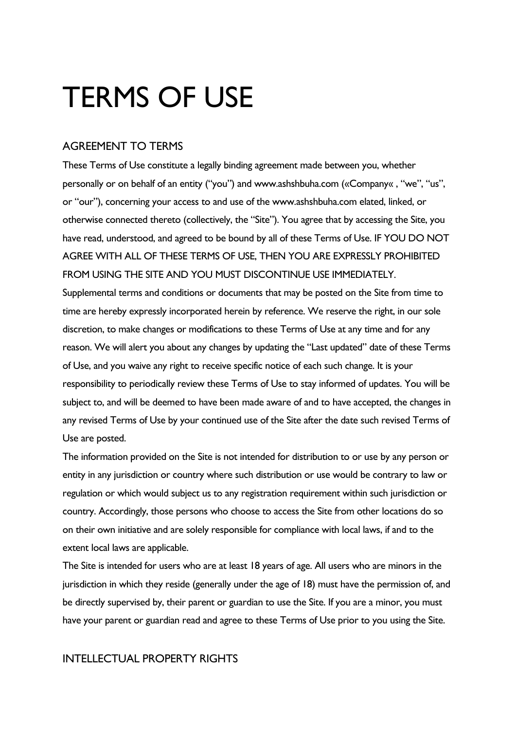# TERMS OF USE

## AGREEMENT TO TERMS

These Terms of Use constitute a legally binding agreement made between you, whether personally or on behalf of an entity ("you") and www.ashshbuha.com («Company« , "we", "us", or "our"), concerning your access to and use of the www.ashshbuha.com elated, linked, or otherwise connected thereto (collectively, the "Site"). You agree that by accessing the Site, you have read, understood, and agreed to be bound by all of these Terms of Use. IF YOU DO NOT AGREE WITH ALL OF THESE TERMS OF USE, THEN YOU ARE EXPRESSLY PROHIBITED FROM USING THE SITE AND YOU MUST DISCONTINUE USE IMMEDIATELY. Supplemental terms and conditions or documents that may be posted on the Site from time to time are hereby expressly incorporated herein by reference. We reserve the right, in our sole discretion, to make changes or modifications to these Terms of Use at any time and for any reason. We will alert you about any changes by updating the "Last updated" date of these Terms of Use, and you waive any right to receive specific notice of each such change. It is your responsibility to periodically review these Terms of Use to stay informed of updates. You will be subject to, and will be deemed to have been made aware of and to have accepted, the changes in any revised Terms of Use by your continued use of the Site after the date such revised Terms of Use are posted.

The information provided on the Site is not intended for distribution to or use by any person or entity in any jurisdiction or country where such distribution or use would be contrary to law or regulation or which would subject us to any registration requirement within such jurisdiction or country. Accordingly, those persons who choose to access the Site from other locations do so on their own initiative and are solely responsible for compliance with local laws, if and to the extent local laws are applicable.

The Site is intended for users who are at least 18 years of age. All users who are minors in the jurisdiction in which they reside (generally under the age of 18) must have the permission of, and be directly supervised by, their parent or guardian to use the Site. If you are a minor, you must have your parent or guardian read and agree to these Terms of Use prior to you using the Site.

## INTELLECTUAL PROPERTY RIGHTS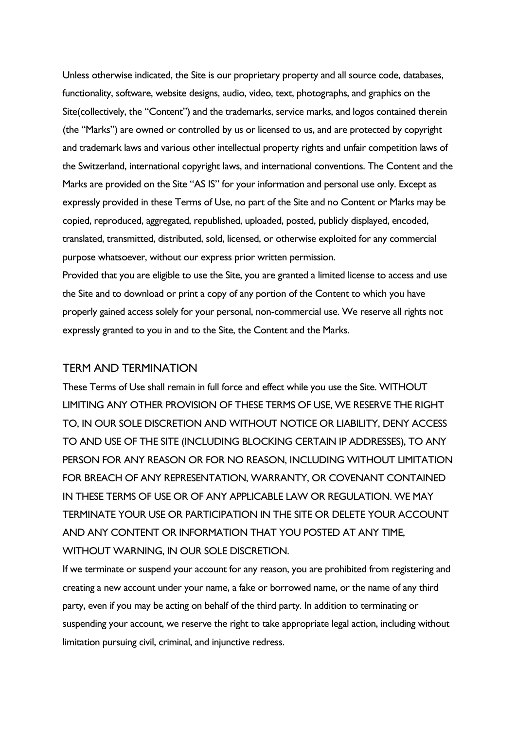Unless otherwise indicated, the Site is our proprietary property and all source code, databases, functionality, software, website designs, audio, video, text, photographs, and graphics on the Site(collectively, the "Content") and the trademarks, service marks, and logos contained therein (the "Marks") are owned or controlled by us or licensed to us, and are protected by copyright and trademark laws and various other intellectual property rights and unfair competition laws of the Switzerland, international copyright laws, and international conventions. The Content and the Marks are provided on the Site "AS IS" for your information and personal use only. Except as expressly provided in these Terms of Use, no part of the Site and no Content or Marks may be copied, reproduced, aggregated, republished, uploaded, posted, publicly displayed, encoded, translated, transmitted, distributed, sold, licensed, or otherwise exploited for any commercial purpose whatsoever, without our express prior written permission.

Provided that you are eligible to use the Site, you are granted a limited license to access and use the Site and to download or print a copy of any portion of the Content to which you have properly gained access solely for your personal, non-commercial use. We reserve all rights not expressly granted to you in and to the Site, the Content and the Marks.

## TERM AND TERMINATION

These Terms of Use shall remain in full force and effect while you use the Site. WITHOUT LIMITING ANY OTHER PROVISION OF THESE TERMS OF USE, WE RESERVE THE RIGHT TO, IN OUR SOLE DISCRETION AND WITHOUT NOTICE OR LIABILITY, DENY ACCESS TO AND USE OF THE SITE (INCLUDING BLOCKING CERTAIN IP ADDRESSES), TO ANY PERSON FOR ANY REASON OR FOR NO REASON, INCLUDING WITHOUT LIMITATION FOR BREACH OF ANY REPRESENTATION, WARRANTY, OR COVENANT CONTAINED IN THESE TERMS OF USE OR OF ANY APPLICABLE LAW OR REGULATION. WE MAY TERMINATE YOUR USE OR PARTICIPATION IN THE SITE OR DELETE YOUR ACCOUNT AND ANY CONTENT OR INFORMATION THAT YOU POSTED AT ANY TIME, WITHOUT WARNING, IN OUR SOLE DISCRETION.

If we terminate or suspend your account for any reason, you are prohibited from registering and creating a new account under your name, a fake or borrowed name, or the name of any third party, even if you may be acting on behalf of the third party. In addition to terminating or suspending your account, we reserve the right to take appropriate legal action, including without limitation pursuing civil, criminal, and injunctive redress.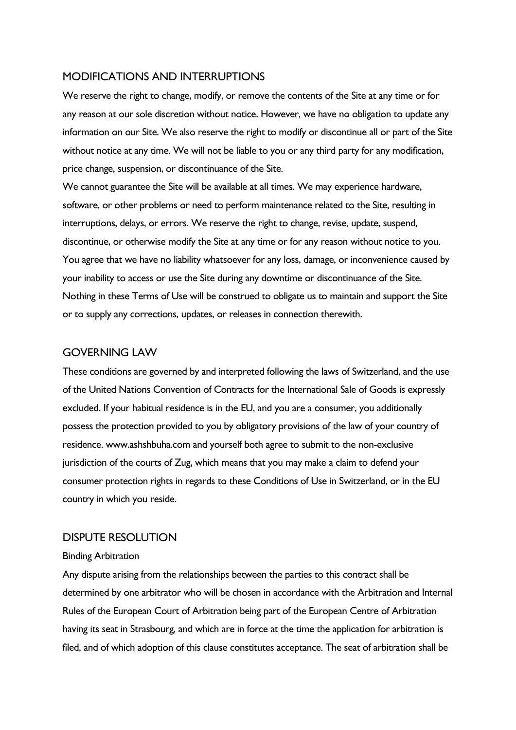### MODIFICATIONS AND INTERRUPTIONS

We reserve the right to change, modify, or remove the contents of the Site at any time or for any reason at our sole discretion without notice. However, we have no obligation to update any information on our Site. We also reserve the right to modify or discontinue all or part of the Site without notice at any time. We will not be liable to you or any third party for any modification, price change, suspension, or discontinuance of the Site.

We cannot guarantee the Site will be available at all times. We may experience hardware, software, or other problems or need to perform maintenance related to the Site, resulting in interruptions, delays, or errors. We reserve the right to change, revise, update, suspend, discontinue, or otherwise modify the Site at any time or for any reason without notice to you. You agree that we have no liability whatsoever for any loss, damage, or inconvenience caused by your inability to access or use the Site during any downtime or discontinuance of the Site. Nothing in these Terms of Use will be construed to obligate us to maintain and support the Site or to supply any corrections, updates, or releases in connection therewith.

## GOVERNING LAW

These conditions are governed by and interpreted following the laws of Switzerland, and the use of the United Nations Convention of Contracts for the International Sale of Goods is expressly excluded. If your habitual residence is in the EU, and you are a consumer, you additionally possess the protection provided to you by obligatory provisions of the law of your country of residence. www.ashshbuha.com and yourself both agree to submit to the non-exclusive jurisdiction of the courts of Zug, which means that you may make a claim to defend your consumer protection rights in regards to these Conditions of Use in Switzerland, or in the EU country in which you reside.

## DISPUTE RESOLUTION

#### Binding Arbitration

Any dispute arising from the relationships between the parties to this contract shall be determined by one arbitrator who will be chosen in accordance with the Arbitration and Internal Rules of the European Court of Arbitration being part of the European Centre of Arbitration having its seat in Strasbourg, and which are in force at the time the application for arbitration is filed, and of which adoption of this clause constitutes acceptance. The seat of arbitration shall be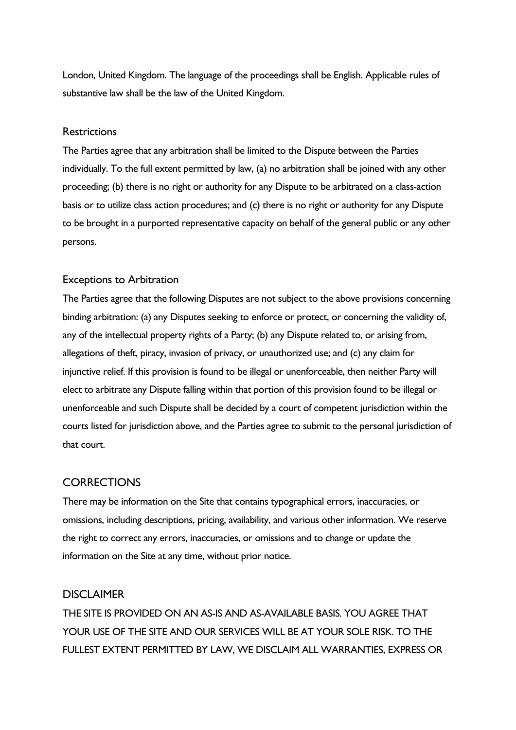London, United Kingdom. The language of the proceedings shall be English. Applicable rules of substantive law shall be the law of the United Kingdom.

#### **Restrictions**

The Parties agree that any arbitration shall be limited to the Dispute between the Parties individually. To the full extent permitted by law, (a) no arbitration shall be joined with any other proceeding; (b) there is no right or authority for any Dispute to be arbitrated on a class-action basis or to utilize class action procedures; and (c) there is no right or authority for any Dispute to be brought in a purported representative capacity on behalf of the general public or any other persons.

#### Exceptions to Arbitration

The Parties agree that the following Disputes are not subject to the above provisions concerning binding arbitration: (a) any Disputes seeking to enforce or protect, or concerning the validity of, any of the intellectual property rights of a Party; (b) any Dispute related to, or arising from, allegations of theft, piracy, invasion of privacy, or unauthorized use; and (c) any claim for injunctive relief. If this provision is found to be illegal or unenforceable, then neither Party will elect to arbitrate any Dispute falling within that portion of this provision found to be illegal or unenforceable and such Dispute shall be decided by a court of competent jurisdiction within the courts listed for jurisdiction above, and the Parties agree to submit to the personal jurisdiction of that court.

## **CORRECTIONS**

There may be information on the Site that contains typographical errors, inaccuracies, or omissions, including descriptions, pricing, availability, and various other information. We reserve the right to correct any errors, inaccuracies, or omissions and to change or update the information on the Site at any time, without prior notice.

#### **DISCLAIMER**

THE SITE IS PROVIDED ON AN AS-IS AND AS-AVAILABLE BASIS. YOU AGREE THAT YOUR USE OF THE SITE AND OUR SERVICES WILL BE AT YOUR SOLE RISK. TO THE FULLEST EXTENT PERMITTED BY LAW, WE DISCLAIM ALL WARRANTIES, EXPRESS OR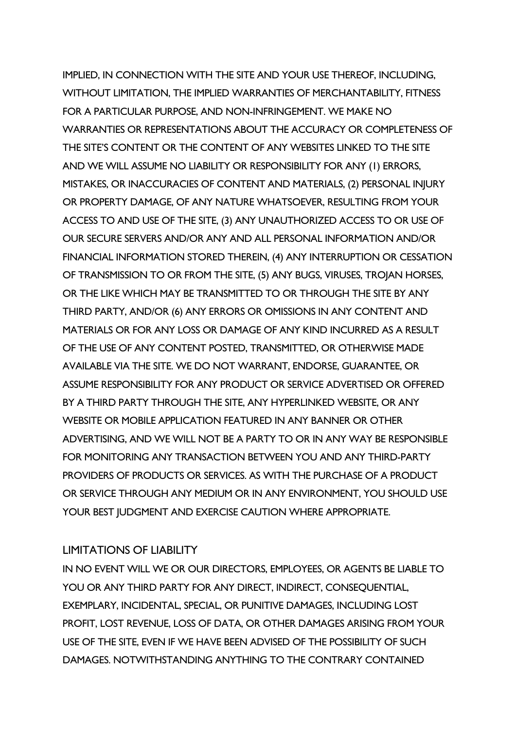IMPLIED, IN CONNECTION WITH THE SITE AND YOUR USE THEREOF, INCLUDING, WITHOUT LIMITATION, THE IMPLIED WARRANTIES OF MERCHANTABILITY, FITNESS FOR A PARTICULAR PURPOSE, AND NON-INFRINGEMENT. WE MAKE NO WARRANTIES OR REPRESENTATIONS ABOUT THE ACCURACY OR COMPLETENESS OF THE SITE'S CONTENT OR THE CONTENT OF ANY WEBSITES LINKED TO THE SITE AND WE WILL ASSUME NO LIABILITY OR RESPONSIBILITY FOR ANY (1) ERRORS, MISTAKES, OR INACCURACIES OF CONTENT AND MATERIALS, (2) PERSONAL INJURY OR PROPERTY DAMAGE, OF ANY NATURE WHATSOEVER, RESULTING FROM YOUR ACCESS TO AND USE OF THE SITE, (3) ANY UNAUTHORIZED ACCESS TO OR USE OF OUR SECURE SERVERS AND/OR ANY AND ALL PERSONAL INFORMATION AND/OR FINANCIAL INFORMATION STORED THEREIN, (4) ANY INTERRUPTION OR CESSATION OF TRANSMISSION TO OR FROM THE SITE, (5) ANY BUGS, VIRUSES, TROJAN HORSES, OR THE LIKE WHICH MAY BE TRANSMITTED TO OR THROUGH THE SITE BY ANY THIRD PARTY, AND/OR (6) ANY ERRORS OR OMISSIONS IN ANY CONTENT AND MATERIALS OR FOR ANY LOSS OR DAMAGE OF ANY KIND INCURRED AS A RESULT OF THE USE OF ANY CONTENT POSTED, TRANSMITTED, OR OTHERWISE MADE AVAILABLE VIA THE SITE. WE DO NOT WARRANT, ENDORSE, GUARANTEE, OR ASSUME RESPONSIBILITY FOR ANY PRODUCT OR SERVICE ADVERTISED OR OFFERED BY A THIRD PARTY THROUGH THE SITE, ANY HYPERLINKED WEBSITE, OR ANY WEBSITE OR MOBILE APPLICATION FEATURED IN ANY BANNER OR OTHER ADVERTISING, AND WE WILL NOT BE A PARTY TO OR IN ANY WAY BE RESPONSIBLE FOR MONITORING ANY TRANSACTION BETWEEN YOU AND ANY THIRD-PARTY PROVIDERS OF PRODUCTS OR SERVICES. AS WITH THE PURCHASE OF A PRODUCT OR SERVICE THROUGH ANY MEDIUM OR IN ANY ENVIRONMENT, YOU SHOULD USE YOUR BEST JUDGMENT AND EXERCISE CAUTION WHERE APPROPRIATE.

## LIMITATIONS OF LIABILITY

IN NO EVENT WILL WE OR OUR DIRECTORS, EMPLOYEES, OR AGENTS BE LIABLE TO YOU OR ANY THIRD PARTY FOR ANY DIRECT, INDIRECT, CONSEQUENTIAL, EXEMPLARY, INCIDENTAL, SPECIAL, OR PUNITIVE DAMAGES, INCLUDING LOST PROFIT, LOST REVENUE, LOSS OF DATA, OR OTHER DAMAGES ARISING FROM YOUR USE OF THE SITE, EVEN IF WE HAVE BEEN ADVISED OF THE POSSIBILITY OF SUCH DAMAGES. NOTWITHSTANDING ANYTHING TO THE CONTRARY CONTAINED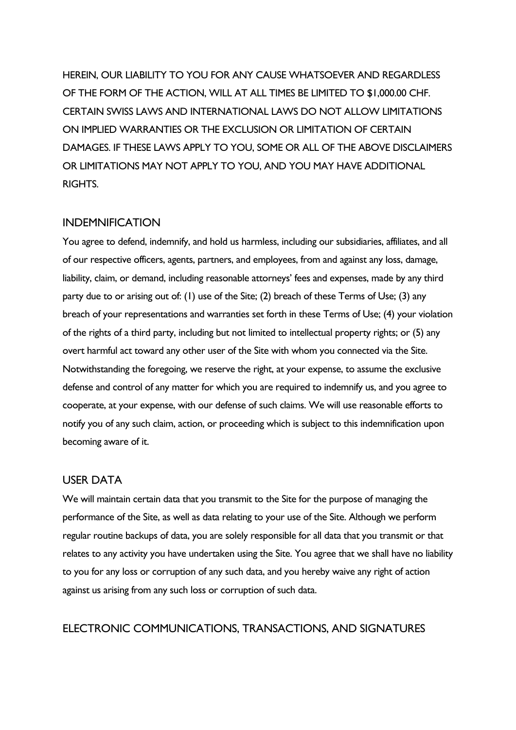HEREIN, OUR LIABILITY TO YOU FOR ANY CAUSE WHATSOEVER AND REGARDLESS OF THE FORM OF THE ACTION, WILL AT ALL TIMES BE LIMITED TO \$1,000.00 CHF. CERTAIN SWISS LAWS AND INTERNATIONAL LAWS DO NOT ALLOW LIMITATIONS ON IMPLIED WARRANTIES OR THE EXCLUSION OR LIMITATION OF CERTAIN DAMAGES. IF THESE LAWS APPLY TO YOU, SOME OR ALL OF THE ABOVE DISCLAIMERS OR LIMITATIONS MAY NOT APPLY TO YOU, AND YOU MAY HAVE ADDITIONAL RIGHTS.

#### INDEMNIFICATION

You agree to defend, indemnify, and hold us harmless, including our subsidiaries, affiliates, and all of our respective officers, agents, partners, and employees, from and against any loss, damage, liability, claim, or demand, including reasonable attorneys' fees and expenses, made by any third party due to or arising out of: (1) use of the Site; (2) breach of these Terms of Use; (3) any breach of your representations and warranties set forth in these Terms of Use; (4) your violation of the rights of a third party, including but not limited to intellectual property rights; or (5) any overt harmful act toward any other user of the Site with whom you connected via the Site. Notwithstanding the foregoing, we reserve the right, at your expense, to assume the exclusive defense and control of any matter for which you are required to indemnify us, and you agree to cooperate, at your expense, with our defense of such claims. We will use reasonable efforts to notify you of any such claim, action, or proceeding which is subject to this indemnification upon becoming aware of it.

## USER DATA

We will maintain certain data that you transmit to the Site for the purpose of managing the performance of the Site, as well as data relating to your use of the Site. Although we perform regular routine backups of data, you are solely responsible for all data that you transmit or that relates to any activity you have undertaken using the Site. You agree that we shall have no liability to you for any loss or corruption of any such data, and you hereby waive any right of action against us arising from any such loss or corruption of such data.

## ELECTRONIC COMMUNICATIONS, TRANSACTIONS, AND SIGNATURES